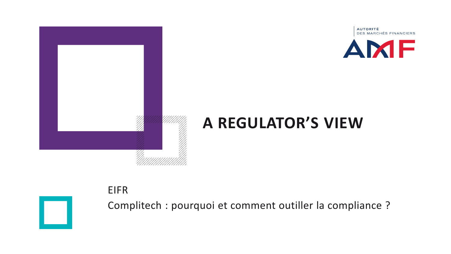



### **A REGULATOR'S VIEW**

#### EIFR



Complitech : pourquoi et comment outiller la compliance ?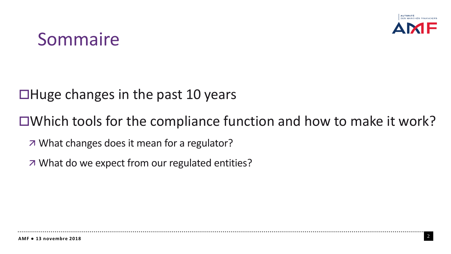

## Sommaire

#### $\Box$ Huge changes in the past 10 years

#### Which tools for the compliance function and how to make it work?

- What changes does it mean for a regulator?
- What do we expect from our regulated entities?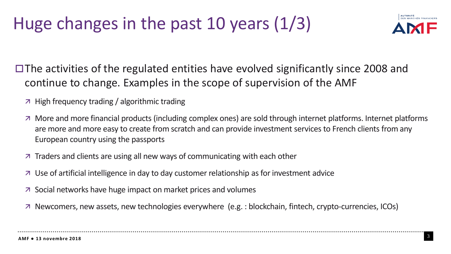# Huge changes in the past 10 years (1/3)



 $\Box$  The activities of the regulated entities have evolved significantly since 2008 and continue to change. Examples in the scope of supervision of the AMF

- $\overline{z}$  High frequency trading / algorithmic trading
- More and more financial products (including complex ones) are sold through internet platforms. Internet platforms are more and more easy to create from scratch and can provide investment services to French clients from any European country using the passports
- $\overline{z}$  Traders and clients are using all new ways of communicating with each other
- $\overline{z}$  Use of artificial intelligence in day to day customer relationship as for investment advice
- Social networks have huge impact on market prices and volumes
- Newcomers, new assets, new technologies everywhere (e.g. : blockchain, fintech, crypto-currencies, ICOs)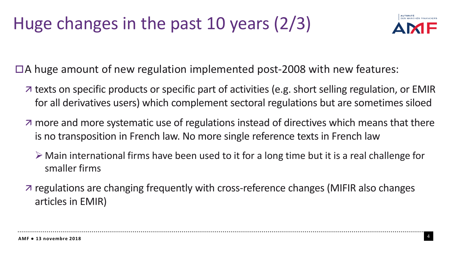# Huge changes in the past 10 years (2/3)



 $\Box$  A huge amount of new regulation implemented post-2008 with new features:

- $\overline{z}$  texts on specific products or specific part of activities (e.g. short selling regulation, or EMIR for all derivatives users) which complement sectoral regulations but are sometimes siloed
- $\overline{a}$  more and more systematic use of regulations instead of directives which means that there is no transposition in French law. No more single reference texts in French law
	- $\triangleright$  Main international firms have been used to it for a long time but it is a real challenge for smaller firms
- regulations are changing frequently with cross-reference changes (MIFIR also changes articles in EMIR)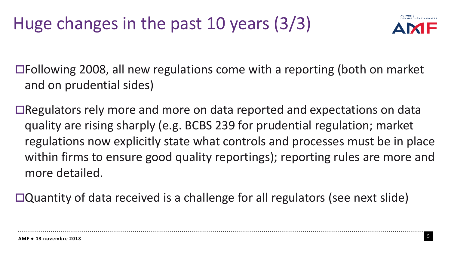

Following 2008, all new regulations come with a reporting (both on market and on prudential sides)

Regulators rely more and more on data reported and expectations on data quality are rising sharply (e.g. BCBS 239 for prudential regulation; market regulations now explicitly state what controls and processes must be in place within firms to ensure good quality reportings); reporting rules are more and more detailed.

Quantity of data received is a challenge for all regulators (see next slide)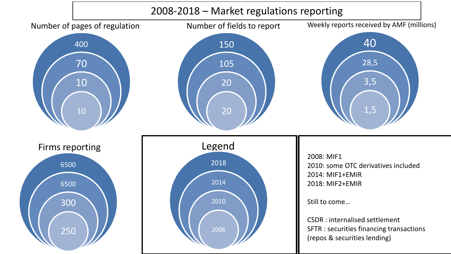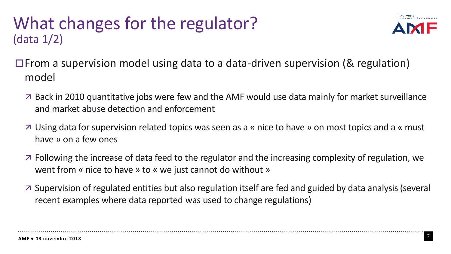### What changes for the regulator? (data 1/2)



- $\Box$  From a supervision model using data to a data-driven supervision (& regulation) model
	- Back in 2010 quantitative jobs were few and the AMF would use data mainly for market surveillance and market abuse detection and enforcement
	- Using data for supervision related topics wasseen as a « nice to have » on most topics and a « must have » on a few ones
	- $\overline{z}$  Following the increase of data feed to the regulator and the increasing complexity of regulation, we went from « nice to have » to « we just cannot do without »
	- Supervision of regulated entities but also regulation itself are fed and guided by data analysis(several recent examples where data reported was used to change regulations)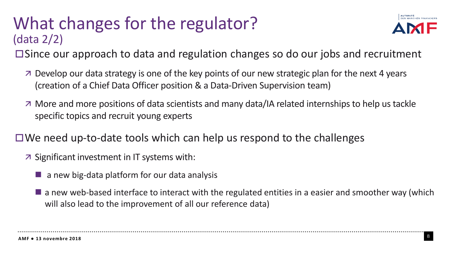## What changes for the regulator? (data 2/2)



Since our approach to data and regulation changes so do our jobs and recruitment

- Develop our data strategy is one of the key points of our new strategic plan for the next 4 years (creation of a Chief Data Officer position & a Data-Driven Supervision team)
- $\overline{a}$  More and more positions of data scientists and many data/IA related internships to help us tackle specific topics and recruit young experts
- $\Box$  We need up-to-date tools which can help us respond to the challenges
	- $\overline{z}$  Significant investment in IT systems with:
		- $\blacksquare$  a new big-data platform for our data analysis
		- $\blacksquare$  a new web-based interface to interact with the regulated entities in a easier and smoother way (which will also lead to the improvement of all our reference data)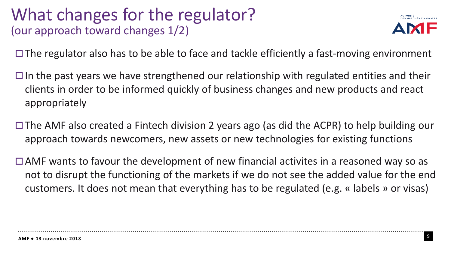#### What changes for the regulator? (our approach toward changes 1/2)



 $\Box$  The regulator also has to be able to face and tackle efficiently a fast-moving environment

- $\Box$  In the past years we have strengthened our relationship with regulated entities and their clients in order to be informed quickly of business changes and new products and react appropriately
- $\Box$  The AMF also created a Fintech division 2 years ago (as did the ACPR) to help building our approach towards newcomers, new assets or new technologies for existing functions
- $\Box$  AMF wants to favour the development of new financial activites in a reasoned way so as not to disrupt the functioning of the markets if we do not see the added value for the end customers. It does not mean that everything has to be regulated (e.g. « labels » or visas)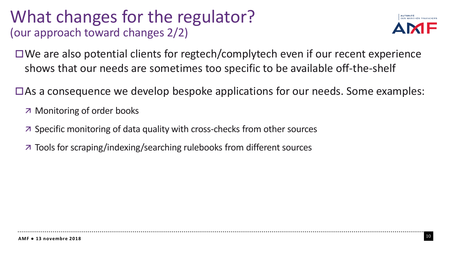### What changes for the regulator? (our approach toward changes 2/2)



 $\Box$  We are also potential clients for regtech/complytech even if our recent experience shows that our needs are sometimes too specific to be available off-the-shelf

 $\Box$  As a consequence we develop bespoke applications for our needs. Some examples:

Monitoring of order books

- $\overline{z}$  Specific monitoring of data quality with cross-checks from other sources
- Tools for scraping/indexing/searching rulebooks from different sources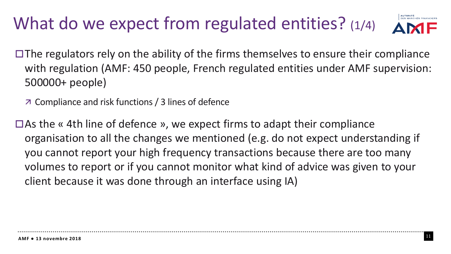## What do we expect from regulated entities? (1/4)

DES MARCHÉS FINANCIERS

- $\Box$  The regulators rely on the ability of the firms themselves to ensure their compliance with regulation (AMF: 450 people, French regulated entities under AMF supervision: 500000+ people)
	- Compliance and risk functions / 3 lines of defence
- $\Box$  As the « 4th line of defence », we expect firms to adapt their compliance organisation to all the changes we mentioned (e.g. do not expect understanding if you cannot report your high frequency transactions because there are too many volumes to report or if you cannot monitor what kind of advice was given to your client because it was done through an interface using IA)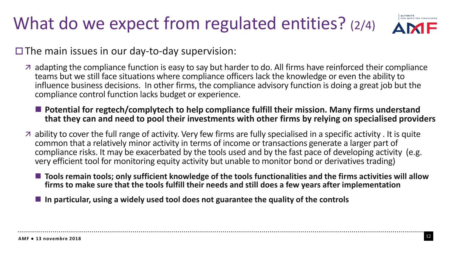# What do we expect from regulated entities? (2/4)

 $\square$  The main issues in our day-to-day supervision:

- $\overline{a}$  adapting the compliance function is easy to say but harder to do. All firms have reinforced their compliance teams but we still face situations where compliance officers lack the knowledge or even the ability to influence business decisions. In other firms, the compliance advisory function is doing a great job but the compliance control function lacks budget or experience.
	- Potential for regtech/complytech to help compliance fulfill their mission. Many firms understand **that they can and need to pool their investments with other firms by relying on specialised providers**
- $\sigma$  ability to cover the full range of activity. Very few firms are fully specialised in a specific activity. It is quite common that a relatively minor activity in terms of income or transactions generate a larger part of compliance risks. It may be exacerbated by the tools used and by the fast pace of developing activity (e.g. very efficient tool for monitoring equity activity but unable to monitor bond or derivatives trading)
	- ◼ **Tools remain tools; only sufficient knowledge of the tools functionalities and the firms activities will allow firms to make sure that the tools fulfill their needs and still does a few years after implementation**
	- ◼ **In particular, using a widely used tool does not guarantee the quality of the controls**

AUTORITÉ<br>DES MARCHÉS FINANCIERS **AME**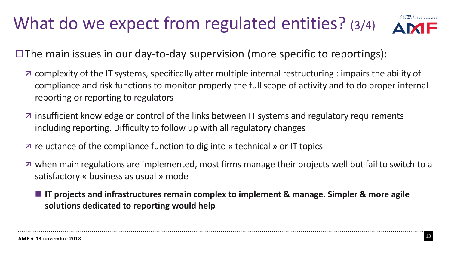## What do we expect from regulated entities? (3/4)



 $\Box$  The main issues in our day-to-day supervision (more specific to reportings):

- complexity of the IT systems, specifically after multiple internal restructuring : impairs the ability of compliance and risk functionsto monitor properly the full scope of activity and to do proper internal reporting or reporting to regulators
- $\overline{a}$  insufficient knowledge or control of the links between IT systems and regulatory requirements including reporting. Difficulty to follow up with all regulatory changes
- $\overline{z}$  reluctance of the compliance function to dig into « technical » or IT topics
- $\overline{a}$  when main regulations are implemented, most firms manage their projects well but fail to switch to a satisfactory « business as usual » mode
	- **IT** projects and infrastructures remain complex to implement & manage. Simpler & more agile **solutions dedicated to reporting would help**